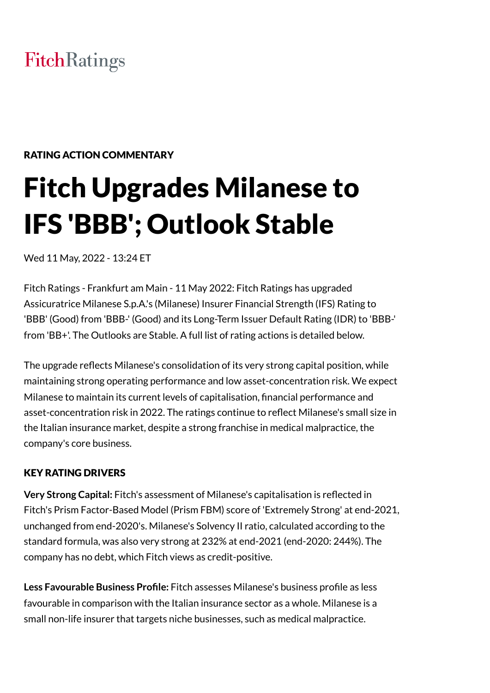# **FitchRatings**

# RATING ACTION COMMENTARY

# Fitch Upgrades Milanese to IFS 'BBB'; Outlook Stable

Wed 11 May, 2022 - 13:24 ET

Fitch Ratings - Frankfurt am Main - 11 May 2022: Fitch Ratings has upgraded Assicuratrice Milanese S.p.A.'s (Milanese) Insurer Financial Strength (IFS) Rating to 'BBB' (Good) from 'BBB-' (Good) and its Long-Term Issuer Default Rating (IDR) to 'BBB-' from 'BB+'. The Outlooks are Stable. A full list of rating actions is detailed below.

The upgrade reflects Milanese's consolidation of its very strong capital position, while maintaining strong operating performance and low asset-concentration risk. We expect Milanese to maintain its current levels of capitalisation, financial performance and asset-concentration risk in 2022. The ratings continue to reflect Milanese's small size in the Italian insurance market, despite a strong franchise in medical malpractice, the company's core business.

#### KEY RATING DRIVERS

**Very Strong Capital:** Fitch's assessment of Milanese's capitalisation is reflected in Fitch's Prism Factor-Based Model (Prism FBM) score of 'Extremely Strong' at end-2021, unchanged from end-2020's. Milanese's Solvency II ratio, calculated according to the standard formula, was also very strong at 232% at end-2021 (end-2020: 244%). The company has no debt, which Fitch views as credit-positive.

**Less Favourable Business Profile:** Fitch assesses Milanese's business profile as less favourable in comparison with the Italian insurance sector as a whole. Milanese is a small non-life insurer that targets niche businesses, such as medical malpractice.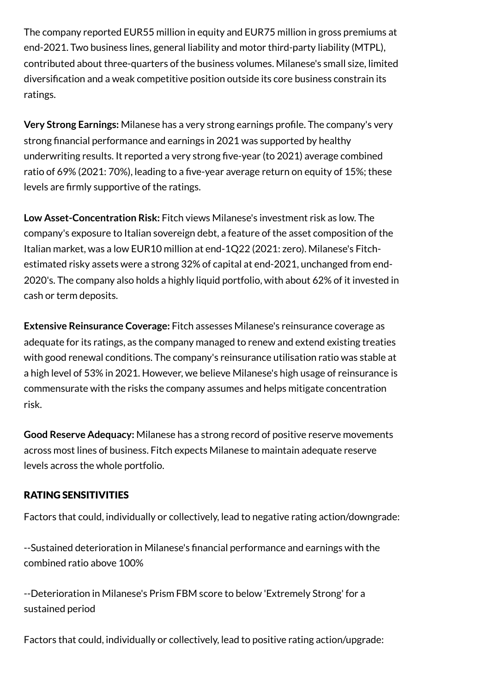The company reported EUR55 million in equity and EUR75 million in gross premiums at end-2021. Two business lines, general liability and motor third-party liability (MTPL), contributed about three-quarters of the business volumes. Milanese's small size, limited diversification and a weak competitive position outside its core business constrain its ratings.

**Very Strong Earnings:** Milanese has a very strong earnings profile. The company's very strong financial performance and earnings in 2021 was supported by healthy underwriting results. It reported a very strong five-year (to 2021) average combined ratio of 69% (2021: 70%), leading to a five-year average return on equity of 15%; these levels are firmly supportive of the ratings.

**Low Asset-Concentration Risk:** Fitch views Milanese's investment risk as low. The company's exposure to Italian sovereign debt, a feature of the asset composition of the Italian market, was a low EUR10 million at end-1Q22 (2021: zero). Milanese's Fitchestimated risky assets were a strong 32% of capital at end-2021, unchanged from end-2020's. The company also holds a highly liquid portfolio, with about 62% of it invested in cash or term deposits.

**Extensive Reinsurance Coverage:** Fitch assesses Milanese's reinsurance coverage as adequate for its ratings, as the company managed to renew and extend existing treaties with good renewal conditions. The company's reinsurance utilisation ratio was stable at a high level of 53% in 2021. However, we believe Milanese's high usage of reinsurance is commensurate with the risks the company assumes and helps mitigate concentration risk.

**Good Reserve Adequacy:** Milanese has a strong record of positive reserve movements across most lines of business. Fitch expects Milanese to maintain adequate reserve levels across the whole portfolio.

#### RATING SENSITIVITIES

Factors that could, individually or collectively, lead to negative rating action/downgrade:

--Sustained deterioration in Milanese's financial performance and earnings with the combined ratio above 100%

--Deterioration in Milanese's Prism FBM score to below 'Extremely Strong' for a sustained period

Factors that could, individually or collectively, lead to positive rating action/upgrade: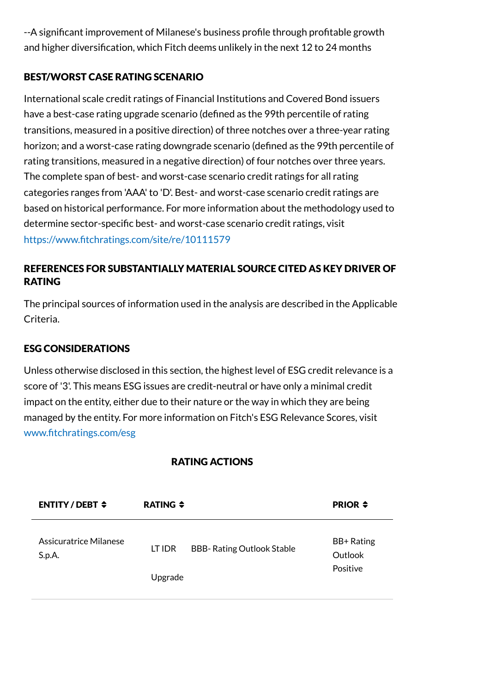--A significant improvement of Milanese's business profile through profitable growth and higher diversification, which Fitch deems unlikely in the next 12 to 24 months

# BEST/WORST CASE RATING SCENARIO

International scale credit ratings of Financial Institutions and Covered Bond issuers have a best-case rating upgrade scenario (defined as the 99th percentile of rating transitions, measured in a positive direction) of three notches over a three-year rating horizon; and a worst-case rating downgrade scenario (defined as the 99th percentile of rating transitions, measured in a negative direction) of four notches over three years. The complete span of best- and worst-case scenario credit ratings for all rating categories ranges from 'AAA' to 'D'. Best- and worst-case scenario credit ratings are based on historical performance. For more information about the methodology used to determine sector-specific best- and worst-case scenario credit ratings, visit <https://www.fitchratings.com/site/re/10111579>

#### REFERENCES FOR SUBSTANTIALLY MATERIAL SOURCE CITED AS KEY DRIVER OF RATING

The principal sources of information used in the analysis are described in the Applicable Criteria.

#### ESG CONSIDERATIONS

Unless otherwise disclosed in this section, the highest level of ESG credit relevance is a score of '3'. This means ESG issues are credit-neutral or have only a minimal credit impact on the entity, either due to their nature or the way in which they are being managed by the entity. For more information on Fitch's ESG Relevance Scores, visit [www.fitchratings.com/esg](http://www.fitchratings.com/esg)

#### RATING ACTIONS

| ENTITY/DEBT $\div$               | RATING $\div$     |                                  | <b>PRIOR <math>\div</math></b>    |
|----------------------------------|-------------------|----------------------------------|-----------------------------------|
| Assicuratrice Milanese<br>S.p.A. | LT IDR<br>Upgrade | <b>BBB-Rating Outlook Stable</b> | BB+ Rating<br>Outlook<br>Positive |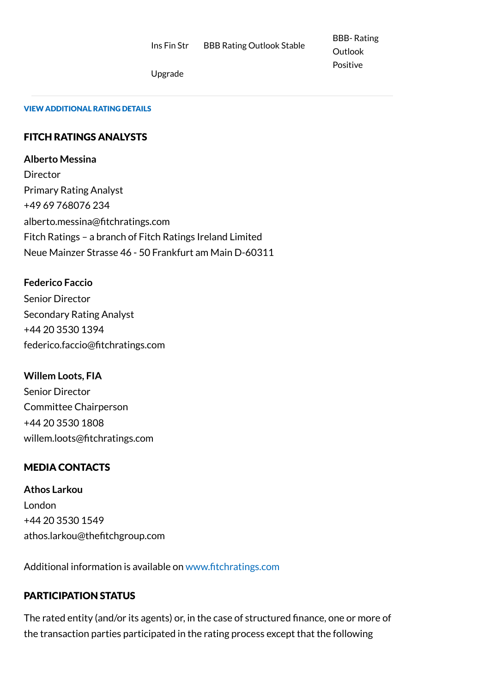Upgrade

#### VIEW ADDITIONAL RATING DETAILS

#### FITCH RATINGS ANALYSTS

**Alberto Messina**

**Director** Primary Rating Analyst +49 69 768076 234 alberto.messina@fitchratings.com Fitch Ratings – a branch of Fitch Ratings Ireland Limited Neue Mainzer Strasse 46 - 50 Frankfurt am Main D-60311

**Federico Faccio**

Senior Director Secondary Rating Analyst +44 20 3530 1394 federico.faccio@fitchratings.com

#### **Willem Loots, FIA**

Senior Director Committee Chairperson +44 20 3530 1808 willem.loots@fitchratings.com

#### MEDIA CONTACTS

**Athos Larkou** London +44 20 3530 1549 athos.larkou@thefitchgroup.com

Additional information is available on [www.fitchratings.com](http://www.fitchratings.com/)

#### PARTICIPATION STATUS

The rated entity (and/or its agents) or, in the case of structured finance, one or more of the transaction parties participated in the rating process except that the following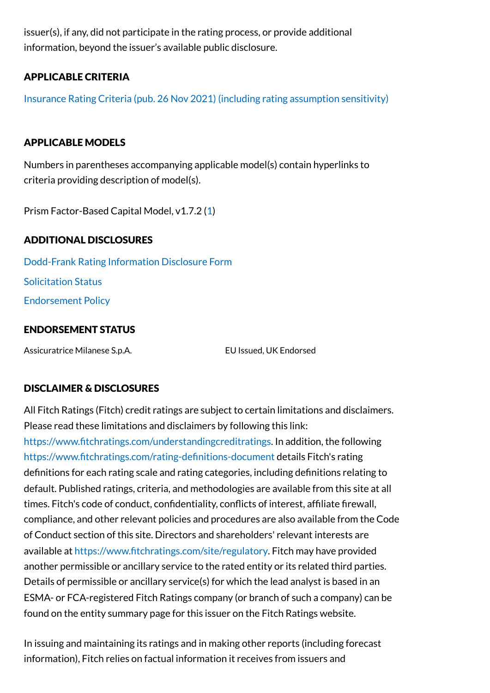issuer(s), if any, did not participate in the rating process, or provide additional information, beyond the issuer's available public disclosure.

# APPLICABLE CRITERIA

Insurance Rating Criteria (pub. 26 Nov 2021) (including rating [assumption](https://www.fitchratings.com/research/insurance/insurance-rating-criteria-26-11-2021) sensitivity)

#### APPLICABLE MODELS

Numbers in parentheses accompanying applicable model(s) contain hyperlinks to criteria providing description of model(s).

Prism Factor-Based Capital Model, v1.7.2 [\(1\)](https://www.fitchratings.com/research/insurance/insurance-rating-criteria-26-11-2021)

# ADDITIONAL DISCLOSURES

[Dodd-Frank](https://www.fitchratings.com/research/insurance/fitch-upgrades-milanese-to-ifs-bbb-outlook-stable-11-05-2022/dodd-frank-disclosure) Rating Information Disclosure Form Solicitation Status [Endorsement](#page-7-0) Policy

#### ENDORSEMENT STATUS

Assicuratrice Milanese S.p.A. EU Issued, UK Endorsed

# DISCLAIMER & DISCLOSURES

All Fitch Ratings (Fitch) credit ratings are subject to certain limitations and disclaimers. Please read these limitations and disclaimers by following this link: [https://www.fitchratings.com/understandingcreditratings](https://www.fitchratings.com/UNDERSTANDINGCREDITRATINGS). In addition, the following [https://www.fitchratings.com/rating-definitions-document](https://www.fitchratings.com/RATING-DEFINITIONS-DOCUMENT) details Fitch's rating definitions for each rating scale and rating categories, including definitions relating to default. Published ratings, criteria, and methodologies are available from this site at all times. Fitch's code of conduct, confidentiality, conflicts of interest, affiliate firewall, compliance, and other relevant policies and procedures are also available from the Code of Conduct section of this site. Directors and shareholders' relevant interests are available at [https://www.fitchratings.com/site/regulatory](https://www.fitchratings.com/SITE/REGULATORY). Fitch may have provided another permissible or ancillary service to the rated entity or its related third parties. Details of permissible or ancillary service(s) for which the lead analyst is based in an ESMA- or FCA-registered Fitch Ratings company (or branch of such a company) can be found on the entity summary page for this issuer on the Fitch Ratings website.

In issuing and maintaining its ratings and in making other reports (including forecast information), Fitch relies on factual information it receives from issuers and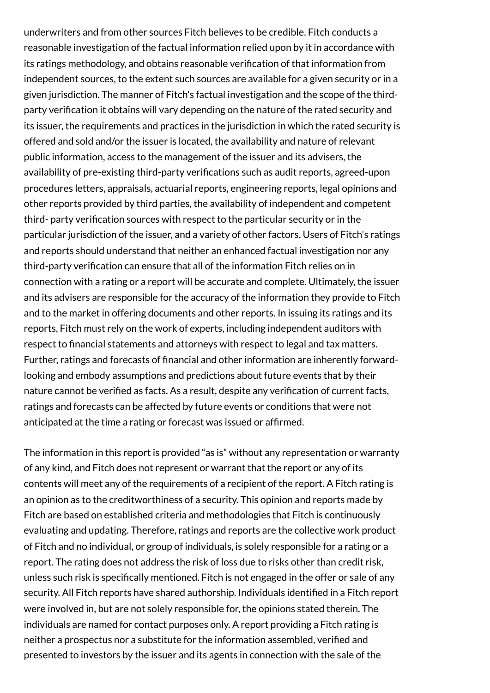underwriters and from other sources Fitch believes to be credible. Fitch conducts a reasonable investigation of the factual information relied upon by it in accordance with its ratings methodology, and obtains reasonable verification of that information from independent sources, to the extent such sources are available for a given security or in a given jurisdiction. The manner of Fitch's factual investigation and the scope of the thirdparty verification it obtains will vary depending on the nature of the rated security and its issuer, the requirements and practices in the jurisdiction in which the rated security is offered and sold and/or the issuer is located, the availability and nature of relevant public information, access to the management of the issuer and its advisers, the availability of pre-existing third-party verifications such as audit reports, agreed-upon procedures letters, appraisals, actuarial reports, engineering reports, legal opinions and other reports provided by third parties, the availability of independent and competent third- party verification sources with respect to the particular security or in the particular jurisdiction of the issuer, and a variety of other factors. Users of Fitch's ratings and reports should understand that neither an enhanced factual investigation nor any third-party verification can ensure that all of the information Fitch relies on in connection with a rating or a report will be accurate and complete. Ultimately, the issuer and its advisers are responsible for the accuracy of the information they provide to Fitch and to the market in offering documents and other reports. In issuing its ratings and its reports, Fitch must rely on the work of experts, including independent auditors with respect to financial statements and attorneys with respect to legal and tax matters. Further, ratings and forecasts of financial and other information are inherently forwardlooking and embody assumptions and predictions about future events that by their nature cannot be verified as facts. As a result, despite any verification of current facts, ratings and forecasts can be affected by future events or conditions that were not anticipated at the time a rating or forecast was issued or affirmed.

The information in this report is provided "as is" without any representation or warranty of any kind, and Fitch does not represent or warrant that the report or any of its contents will meet any of the requirements of a recipient of the report. A Fitch rating is an opinion as to the creditworthiness of a security. This opinion and reports made by Fitch are based on established criteria and methodologies that Fitch is continuously evaluating and updating. Therefore, ratings and reports are the collective work product of Fitch and no individual, or group of individuals, is solely responsible for a rating or a report. The rating does not address the risk of loss due to risks other than credit risk, unless such risk is specifically mentioned. Fitch is not engaged in the offer or sale of any security. All Fitch reports have shared authorship. Individuals identified in a Fitch report were involved in, but are not solely responsible for, the opinions stated therein. The individuals are named for contact purposes only. A report providing a Fitch rating is neither a prospectus nor a substitute for the information assembled, verified and presented to investors by the issuer and its agents in connection with the sale of the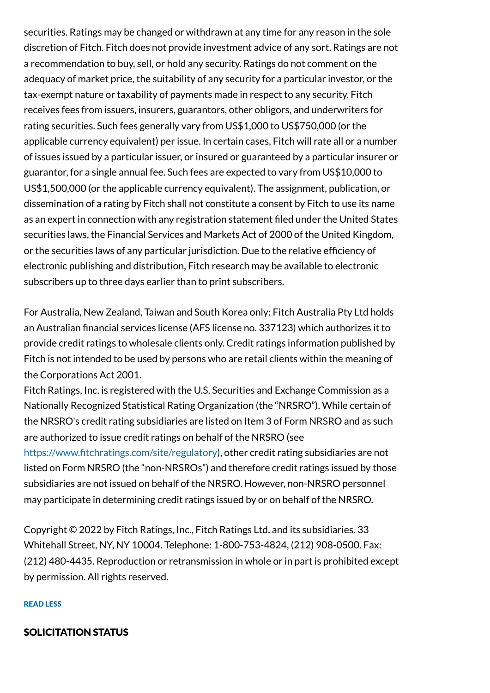securities. Ratings may be changed or withdrawn at any time for any reason in the sole discretion of Fitch. Fitch does not provide investment advice of any sort. Ratings are not a recommendation to buy, sell, or hold any security. Ratings do not comment on the adequacy of market price, the suitability of any security for a particular investor, or the tax-exempt nature or taxability of payments made in respect to any security. Fitch receives fees from issuers, insurers, guarantors, other obligors, and underwriters for rating securities. Such fees generally vary from US\$1,000 to US\$750,000 (or the applicable currency equivalent) per issue. In certain cases, Fitch will rate all or a number of issues issued by a particular issuer, or insured or guaranteed by a particular insurer or guarantor, for a single annual fee. Such fees are expected to vary from US\$10,000 to US\$1,500,000 (or the applicable currency equivalent). The assignment, publication, or dissemination of a rating by Fitch shall not constitute a consent by Fitch to use its name as an expert in connection with any registration statement filed under the United States securities laws, the Financial Services and Markets Act of 2000 of the United Kingdom, or the securities laws of any particular jurisdiction. Due to the relative efficiency of electronic publishing and distribution, Fitch research may be available to electronic subscribers up to three days earlier than to print subscribers.

For Australia, New Zealand, Taiwan and South Korea only: Fitch Australia Pty Ltd holds an Australian financial services license (AFS license no. 337123) which authorizes it to provide credit ratings to wholesale clients only. Credit ratings information published by Fitch is not intended to be used by persons who are retail clients within the meaning of the Corporations Act 2001.

Fitch Ratings, Inc. is registered with the U.S. Securities and Exchange Commission as a Nationally Recognized Statistical Rating Organization (the "NRSRO"). While certain of the NRSRO's credit rating subsidiaries are listed on Item 3 of Form NRSRO and as such are authorized to issue credit ratings on behalf of the NRSRO (see <https://www.fitchratings.com/site/regulatory>), other credit rating subsidiaries are not listed on Form NRSRO (the "non-NRSROs") and therefore credit ratings issued by those subsidiaries are not issued on behalf of the NRSRO. However, non-NRSRO personnel may participate in determining credit ratings issued by or on behalf of the NRSRO.

Copyright © 2022 by Fitch Ratings, Inc., Fitch Ratings Ltd. and its subsidiaries. 33 Whitehall Street, NY, NY 10004. Telephone: 1-800-753-4824, (212) 908-0500. Fax: (212) 480-4435. Reproduction or retransmission in whole or in part is prohibited except by permission. All rights reserved.

#### READ LESS

#### SOLICITATION STATUS